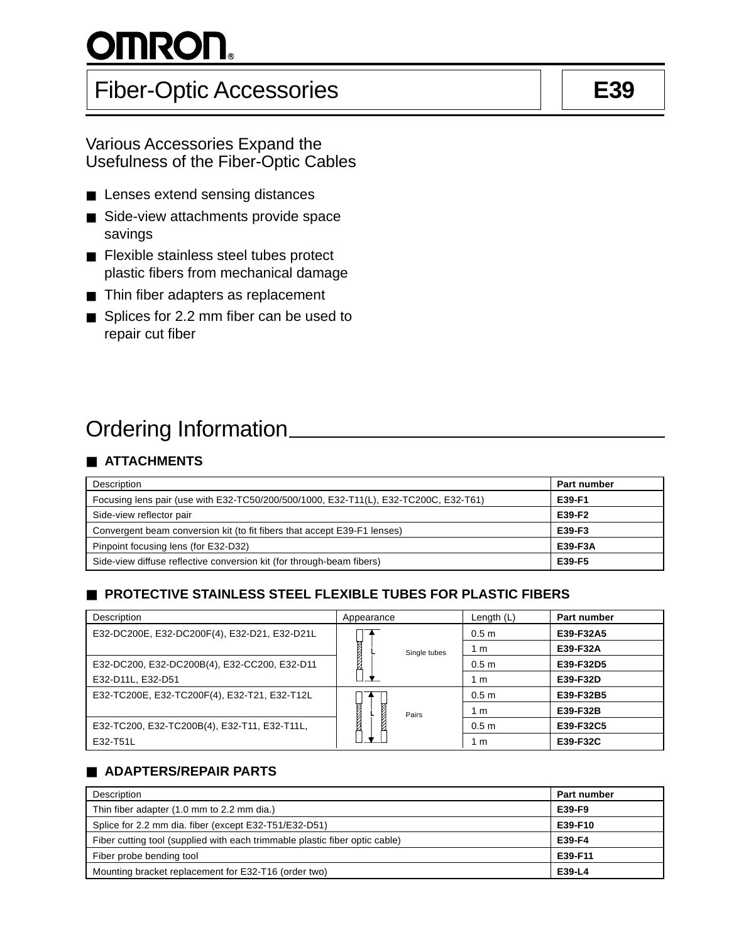# <u>OMRON.</u>

# Fiber-Optic Accessories **E39**

- Lenses extend sensing distances
- Side-view attachments provide space savings
- Flexible stainless steel tubes protect plastic fibers from mechanical damage
- Thin fiber adapters as replacement
- Splices for 2.2 mm fiber can be used to repair cut fiber

# Ordering Information

# ■ **ATTACHMENTS**

| Description                                                                          | Part number |
|--------------------------------------------------------------------------------------|-------------|
| Focusing lens pair (use with E32-TC50/200/500/1000, E32-T11(L), E32-TC200C, E32-T61) | E39-F1      |
| Side-view reflector pair                                                             | E39-F2      |
| Convergent beam conversion kit (to fit fibers that accept E39-F1 lenses)             | E39-F3      |
| Pinpoint focusing lens (for E32-D32)                                                 | E39-F3A     |
| Side-view diffuse reflective conversion kit (for through-beam fibers)                | E39-F5      |

# ■ **PROTECTIVE STAINLESS STEEL FLEXIBLE TUBES FOR PLASTIC FIBERS**

| Description                                  | Appearance    |              | Length $(L)$     | Part number |
|----------------------------------------------|---------------|--------------|------------------|-------------|
| E32-DC200E, E32-DC200F(4), E32-D21, E32-D21L |               |              | 0.5 <sub>m</sub> | E39-F32A5   |
|                                              | <b>NATION</b> | Single tubes | 1 m              | E39-F32A    |
| E32-DC200, E32-DC200B(4), E32-CC200, E32-D11 |               |              | 0.5 <sub>m</sub> | E39-F32D5   |
| E32-D11L, E32-D51                            |               |              | 1 m              | E39-F32D    |
| E32-TC200E, E32-TC200F(4), E32-T21, E32-T12L |               | Pairs        | 0.5 <sub>m</sub> | E39-F32B5   |
|                                              | <b>Recent</b> |              | 1 m              | E39-F32B    |
| E32-TC200, E32-TC200B(4), E32-T11, E32-T11L, |               |              | 0.5 <sub>m</sub> | E39-F32C5   |
| E32-T51L                                     |               |              | 1 m              | E39-F32C    |

# ■ **ADAPTERS/REPAIR PARTS**

| Description                                                                 | Part number |
|-----------------------------------------------------------------------------|-------------|
| Thin fiber adapter (1.0 mm to 2.2 mm dia.)                                  | E39-F9      |
| Splice for 2.2 mm dia. fiber (except E32-T51/E32-D51)                       | E39-F10     |
| Fiber cutting tool (supplied with each trimmable plastic fiber optic cable) | E39-F4      |
| Fiber probe bending tool                                                    | E39-F11     |
| Mounting bracket replacement for E32-T16 (order two)                        | E39-L4      |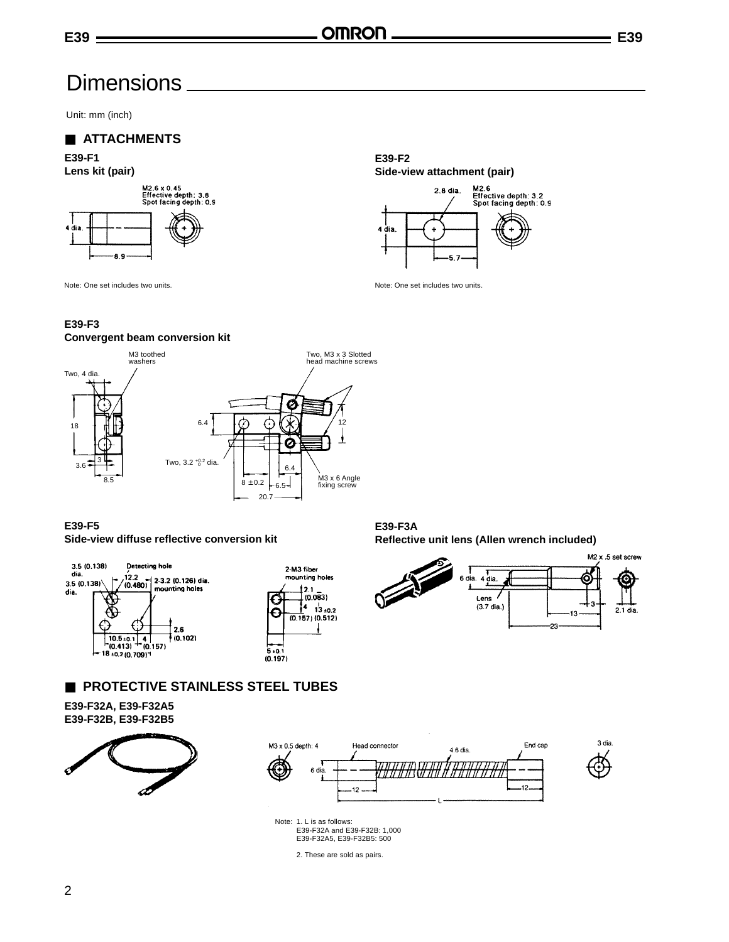# **Dimensions**

Unit: mm (inch)

### ■ **ATTACHMENTS**





**E39-F2 Side-view attachment (pair)**



Note: One set includes two units. Note: One set includes two units.

### **E39-F3**

dia.





**E39-F5 Side-view diffuse reflective conversion kit**



**E39-F3A Reflective unit lens (Allen wrench included)**



### ■ **PROTECTIVE STAINLESS STEEL TUBES**

#### **E39-F32A, E39-F32A5 E39-F32B, E39-F32B5**







Note: 1. L is as follows: E39-F32A and E39-F32B: 1,000 E39-F32A5, E39-F32B5: 500

2. These are sold as pairs.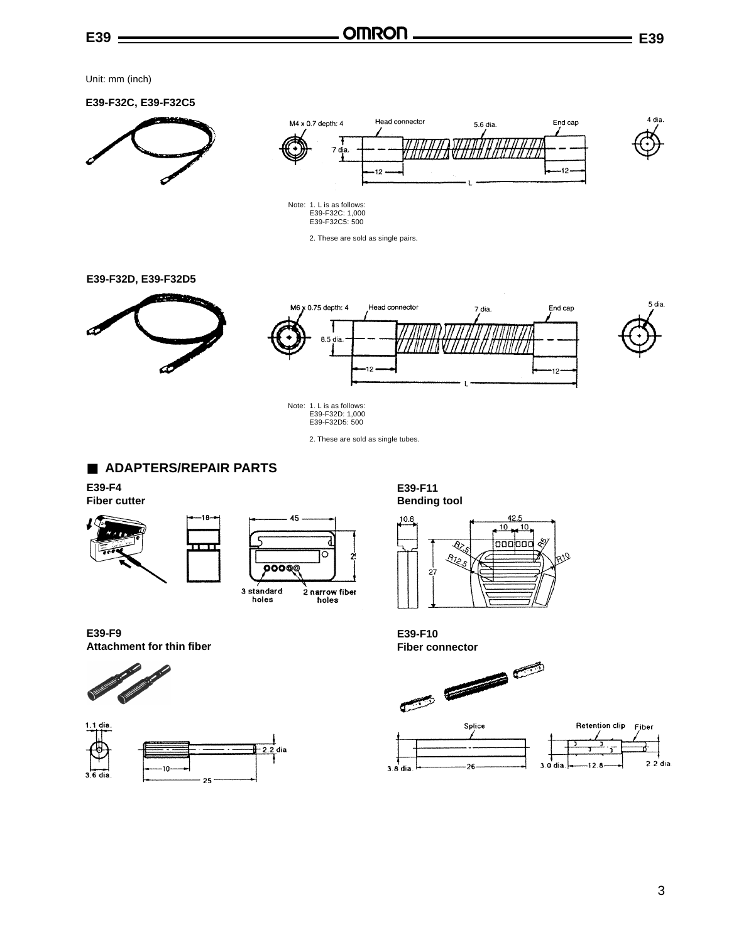Unit: mm (inch)





2. These are sold as single pairs.

**E39-F32D, E39-F32D5**



Note: 1. L is as follows: E39-F32D: 1,000 E39-F32D5: 500

2. These are sold as single tubes.

### ■ **ADAPTERS/REPAIR PARTS**

**E39-F4 Fiber cutter**



**E39-F9 Attachment for thin fiber**





**E39-F11 Bending tool**



**E39-F10**

 $3.8$ dia



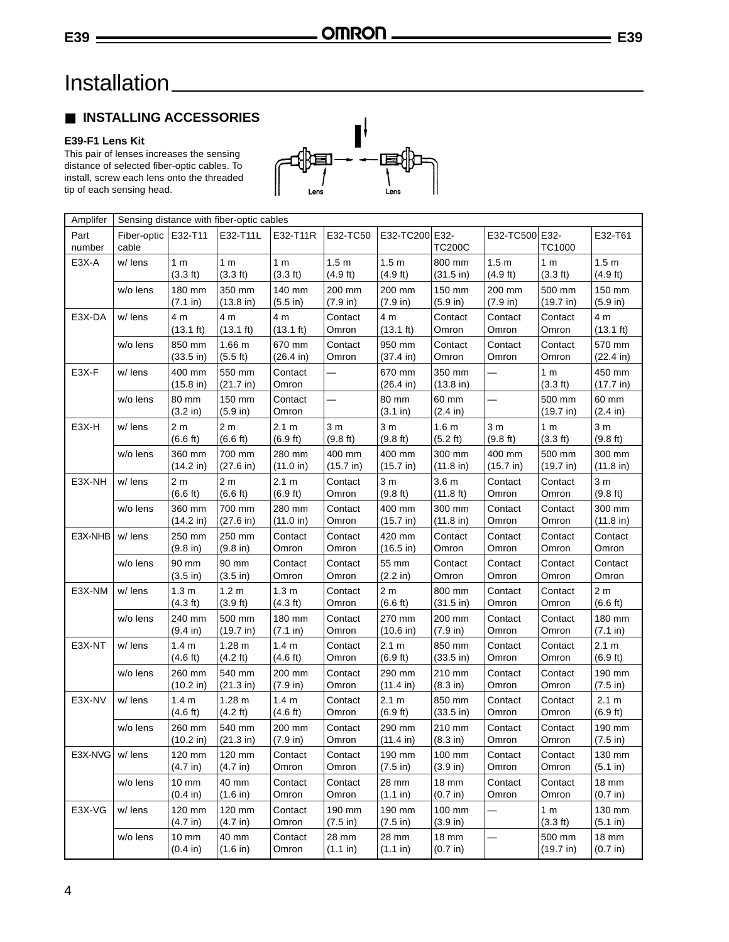# Installation

## ■ **INSTALLING ACCESSORIES**

### **E39-F1 Lens Kit**

This pair of lenses increases the sensing distance of selected fiber-optic cables. To install, screw each lens onto the threaded tip of each sensing head.

| Amplifer       | Sensing distance with fiber-optic cables |                              |                                         |                                        |                              |                                        |                                        |                              |                                      |                               |
|----------------|------------------------------------------|------------------------------|-----------------------------------------|----------------------------------------|------------------------------|----------------------------------------|----------------------------------------|------------------------------|--------------------------------------|-------------------------------|
| Part<br>number | Fiber-optic   E32-T11<br>cable           |                              | E32-T11L                                | E32-T11R                               | E32-TC50                     | E32-TC200 E32-                         | <b>TC200C</b>                          | E32-TC500 E32-               | <b>TC1000</b>                        | E32-T61                       |
| E3X-A          | w/ lens                                  | 1 <sub>m</sub><br>(3.3 ft)   | 1 <sub>m</sub><br>(3.3 ft)              | 1 <sub>m</sub><br>(3.3 ft)             | 1.5 <sub>m</sub><br>(4.9 ft) | 1.5 <sub>m</sub><br>$(4.9 \text{ ft})$ | 800 mm<br>$(31.5 \text{ in})$          | 1.5 <sub>m</sub><br>(4.9 ft) | 1 <sub>m</sub><br>(3.3 ft)           | 1.5 <sub>m</sub><br>(4.9 ft)  |
|                | w/o lens                                 | 180 mm<br>(7.1 in)           | 350 mm<br>$(13.8 \text{ in})$           | 140 mm<br>(5.5 in)                     | 200 mm<br>(7.9 in)           | 200 mm<br>(7.9 in)                     | 150 mm<br>(5.9 in)                     | 200 mm<br>(7.9 in)           | 500 mm<br>(19.7 in)                  | 150 mm<br>(5.9 in)            |
| E3X-DA         | w/ lens                                  | 4 m<br>$(13.1 \text{ ft})$   | 4 m<br>$(13.1 \text{ ft})$              | 4 m<br>$(13.1 \text{ ft})$             | Contact<br>Omron             | 4 m<br>$(13.1 \text{ ft})$             | Contact<br>Omron                       | Contact<br>Omron             | Contact<br>Omron                     | 4 m<br>$(13.1 \text{ ft})$    |
|                | w/o lens                                 | 850 mm<br>$(33.5 \infty)$    | 1.66 <sub>m</sub><br>$(5.5 \text{ ft})$ | 670 mm<br>$(26.4 \text{ in})$          | Contact<br>Omron             | 950 mm<br>$(37.4 \text{ in})$          | Contact<br>Omron                       | Contact<br>Omron             | Contact<br>Omron                     | 570 mm<br>$(22.4 \text{ in})$ |
| E3X-F          | w/ lens                                  | 400 mm<br>$(15.8 \infty)$    | 550 mm<br>(21.7 in)                     | Contact<br>Omron                       |                              | 670 mm<br>$(26.4 \text{ in})$          | 350 mm<br>$(13.8 \text{ in})$          |                              | 1 <sub>m</sub><br>$(3.3 \text{ ft})$ | 450 mm<br>(17.7 in)           |
|                | w/o lens                                 | 80 mm<br>(3.2 in)            | 150 mm<br>(5.9 in)                      | Contact<br>Omron                       |                              | 80 mm<br>(3.1 in)                      | 60 mm<br>$(2.4 \text{ in})$            | —                            | 500 mm<br>$(19.7 \text{ in})$        | 60 mm<br>(2.4 in)             |
| E3X-H          | w/ lens                                  | 2 <sub>m</sub><br>(6.6 ft)   | 2 <sub>m</sub><br>(6.6 ft)              | 2.1 m<br>(6.9 ft)                      | 3 <sub>m</sub><br>(9.8 ft)   | 3 <sub>m</sub><br>(9.8 ft)             | 1.6 <sub>m</sub><br>$(5.2 \text{ ft})$ | 3 <sub>m</sub><br>(9.8 ft)   | 1 <sub>m</sub><br>(3.3 ft)           | 3 <sub>m</sub><br>(9.8 ft)    |
|                | w/o lens                                 | 360 mm<br>(14.2 in)          | 700 mm<br>(27.6 in)                     | 280 mm<br>(11.0 in)                    | 400 mm<br>(15.7 in)          | 400 mm<br>$(15.7 \text{ in})$          | 300 mm<br>(11.8 in)                    | 400 mm<br>(15.7 in)          | 500 mm<br>(19.7 in)                  | 300 mm<br>(11.8 in)           |
| E3X-NH         | w/ lens                                  | 2 <sub>m</sub><br>(6.6 ft)   | 2 <sub>m</sub><br>(6.6 ft)              | 2.1 m<br>(6.9 ft)                      | Contact<br>Omron             | 3 <sub>m</sub><br>(9.8 ft)             | 3.6 <sub>m</sub><br>(11.8 ft)          | Contact<br>Omron             | Contact<br>Omron                     | 3 <sub>m</sub><br>(9.8 ft)    |
|                | w/o lens                                 | 360 mm<br>(14.2 in)          | 700 mm<br>(27.6 in)                     | 280 mm<br>(11.0 in)                    | Contact<br>Omron             | 400 mm<br>(15.7 in)                    | 300 mm<br>(11.8 in)                    | Contact<br>Omron             | Contact<br>Omron                     | 300 mm<br>(11.8 in)           |
| E3X-NHB        | w/ lens                                  | 250 mm<br>(9.8 in)           | 250 mm<br>(9.8 in)                      | Contact<br>Omron                       | Contact<br>Omron             | 420 mm<br>$(16.5 \text{ in})$          | Contact<br>Omron                       | Contact<br>Omron             | Contact<br>Omron                     | Contact<br>Omron              |
|                | w/o lens                                 | 90 mm<br>$(3.5 \infty)$      | 90 mm<br>$(3.5 \infty)$                 | Contact<br>Omron                       | Contact<br>Omron             | 55 mm<br>(2.2 in)                      | Contact<br>Omron                       | Contact<br>Omron             | Contact<br>Omron                     | Contact<br>Omron              |
| E3X-NM         | w/ lens                                  | 1.3 <sub>m</sub><br>(4.3 ft) | 1.2 <sub>m</sub><br>$(3.9 \text{ ft})$  | 1.3 <sub>m</sub><br>(4.3 ft)           | Contact<br>Omron             | 2 <sub>m</sub><br>(6.6 ft)             | 800 mm<br>$(31.5 \text{ in})$          | Contact<br>Omron             | Contact<br>Omron                     | 2 <sub>m</sub><br>(6.6 ft)    |
|                | w/o lens                                 | 240 mm<br>(9.4 in)           | 500 mm<br>(19.7 in)                     | 180 mm<br>(7.1 in)                     | Contact<br>Omron             | 270 mm<br>(10.6 in)                    | 200 mm<br>(7.9 in)                     | Contact<br>Omron             | Contact<br>Omron                     | 180 mm<br>(7.1 in)            |
| E3X-NT         | w/ lens                                  | 1.4 <sub>m</sub><br>(4.6 ft) | 1.28 m<br>$(4.2 \text{ ft})$            | 1.4 <sub>m</sub><br>(4.6 ft)           | Contact<br>Omron             | 2.1 m<br>$(6.9 \text{ ft})$            | 850 mm<br>$(33.5 \text{ in})$          | Contact<br>Omron             | Contact<br>Omron                     | 2.1 m<br>(6.9 ft)             |
|                | w/o lens                                 | 260 mm<br>(10.2 in)          | 540 mm<br>(21.3 in)                     | 200 mm<br>(7.9 in)                     | Contact<br>Omron             | 290 mm<br>$(11.4 \text{ in})$          | 210 mm<br>$(8.3 \text{ in})$           | Contact<br>Omron             | Contact<br>Omron                     | 190 mm<br>(7.5 in)            |
| E3X-NV         | w/ lens                                  | 1.4 <sub>m</sub><br>(4.6 ft) | 1.28 m<br>$(4.2 \text{ ft})$            | 1.4 <sub>m</sub><br>$(4.6 \text{ ft})$ | Contact<br>Omron             | 2.1 m<br>$(6.9 \text{ ft})$            | 850 mm<br>$(33.5 \text{ in})$          | Contact<br>Omron             | Contact<br>Omron                     | 2.1 m<br>(6.9 ft)             |
|                | w/o lens                                 | 260 mm<br>(10.2 in)          | 540 mm<br>$(21.3 \text{ in})$           | 200 mm<br>(7.9 in)                     | Contact<br>Omron             | 290 mm<br>$(11.4 \text{ in})$          | 210 mm<br>(8.3 in)                     | Contact<br>Omron             | Contact<br>Omron                     | 190 mm<br>$(7.5 \text{ in})$  |
| E3X-NVG        | w/ lens                                  | 120 mm<br>(4.7 in)           | 120 mm<br>(4.7 in)                      | Contact<br>Omron                       | Contact<br>Omron             | 190 mm<br>(7.5 in)                     | 100 mm<br>(3.9 in)                     | Contact<br>Omron             | Contact<br>Omron                     | 130 mm<br>(5.1 in)            |
|                | w/o lens                                 | 10 mm<br>$(0.4 \text{ in})$  | 40 mm<br>(1.6 in)                       | Contact<br>Omron                       | Contact<br>Omron             | 28 mm<br>(1.1 in)                      | 18 mm<br>(0.7 in)                      | Contact<br>Omron             | Contact<br>Omron                     | 18 mm<br>(0.7 in)             |
| E3X-VG         | w/ lens                                  | 120 mm<br>(4.7 in)           | 120 mm<br>(4.7 in)                      | Contact<br>Omron                       | 190 mm<br>(7.5 in)           | 190 mm<br>(7.5 in)                     | 100 mm<br>$(3.9 \text{ in})$           | —                            | 1 <sub>m</sub><br>(3.3 ft)           | 130 mm<br>(5.1 in)            |
|                | w/o lens                                 | 10 mm<br>$(0.4 \text{ in})$  | 40 mm<br>(1.6 in)                       | Contact<br>Omron                       | 28 mm<br>(1.1 in)            | 28 mm<br>(1.1 in)                      | 18 mm<br>(0.7 in)                      |                              | 500 mm<br>(19.7 in)                  | 18 mm<br>(0.7 in)             |

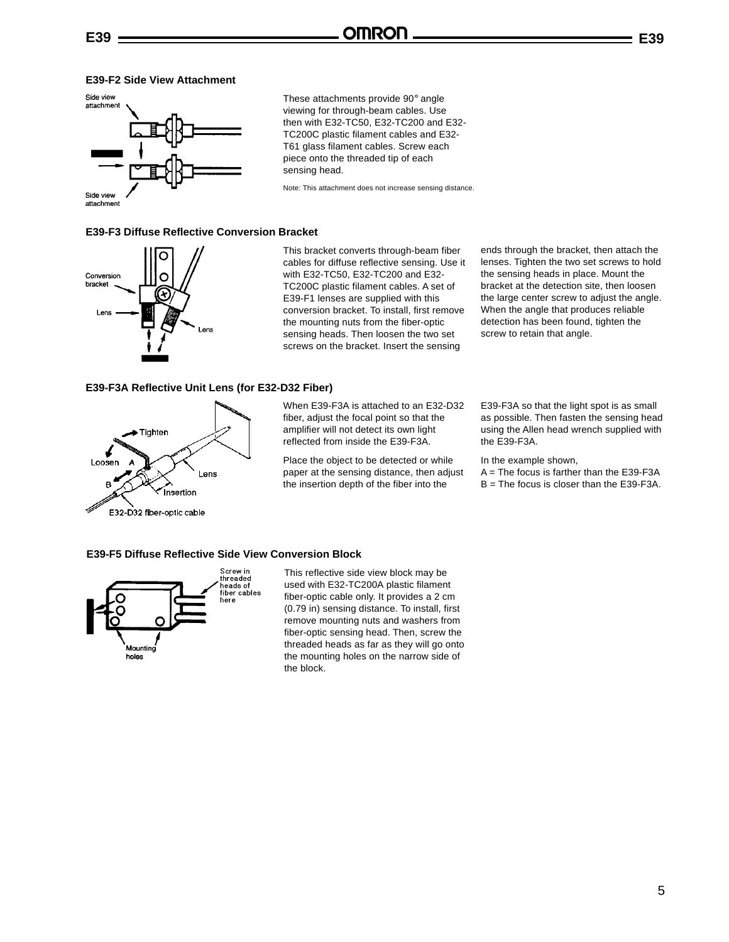These attachments provide 90° angle viewing for through-beam cables. Use then with E32-TC50, E32-TC200 and E32- TC200C plastic filament cables and E32- T61 glass filament cables. Screw each piece onto the threaded tip of each

sensing head.

### **E39-F2 Side View Attachment**



**E39-F3 Diffuse Reflective Conversion Bracket**



This bracket converts through-beam fiber cables for diffuse reflective sensing. Use it with E32-TC50, E32-TC200 and E32- TC200C plastic filament cables. A set of E39-F1 lenses are supplied with this conversion bracket. To install, first remove the mounting nuts from the fiber-optic sensing heads. Then loosen the two set screws on the bracket. Insert the sensing

Note: This attachment does not increase sensing distance.

#### **E39-F3A Reflective Unit Lens (for E32-D32 Fiber)**



When E39-F3A is attached to an E32-D32 fiber, adjust the focal point so that the amplifier will not detect its own light reflected from inside the E39-F3A.

Place the object to be detected or while paper at the sensing distance, then adjust the insertion depth of the fiber into the

ends through the bracket, then attach the lenses. Tighten the two set screws to hold the sensing heads in place. Mount the bracket at the detection site, then loosen the large center screw to adjust the angle. When the angle that produces reliable detection has been found, tighten the screw to retain that angle.

E39-F3A so that the light spot is as small as possible. Then fasten the sensing head using the Allen head wrench supplied with the E39-F3A.

In the example shown,

 $A =$ The focus is farther than the E39-F3A B = The focus is closer than the E39-F3A.

#### **E39-F5 Diffuse Reflective Side View Conversion Block**



This reflective side view block may be used with E32-TC200A plastic filament fiber-optic cable only. It provides a 2 cm (0.79 in) sensing distance. To install, first remove mounting nuts and washers from fiber-optic sensing head. Then, screw the threaded heads as far as they will go onto the mounting holes on the narrow side of the block.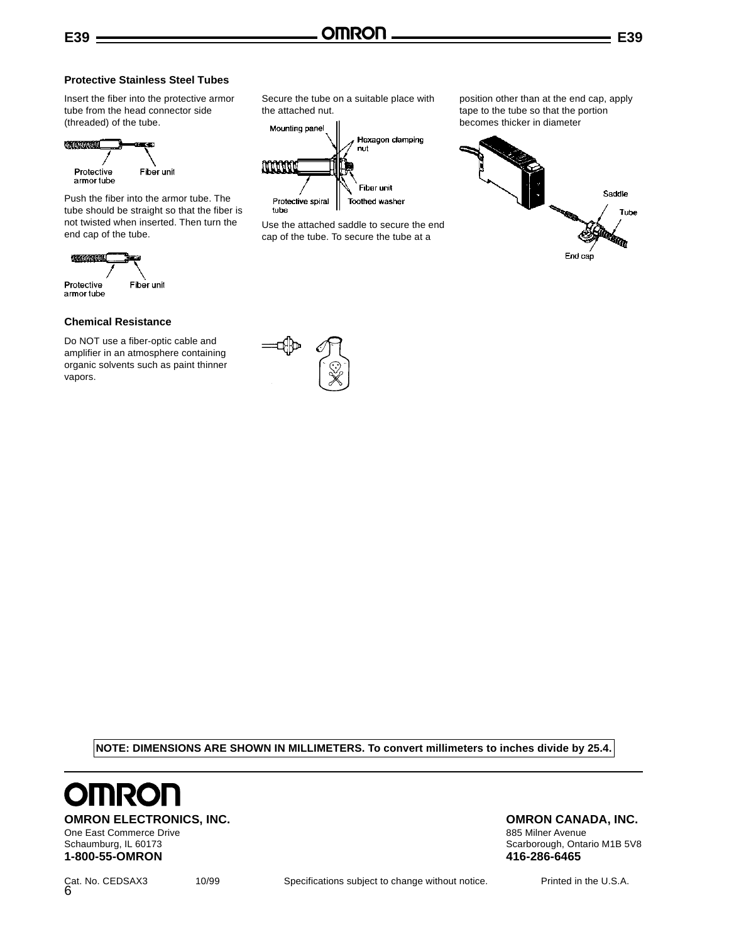### **Protective Stainless Steel Tubes**

Insert the fiber into the protective armor tube from the head connector side (threaded) of the tube.



Push the fiber into the armor tube. The tube should be straight so that the fiber is not twisted when inserted. Then turn the end cap of the tube.



#### **Chemical Resistance**

Do NOT use a fiber-optic cable and amplifier in an atmosphere containing organic solvents such as paint thinner vapors.

Secure the tube on a suitable place with the attached nut.



Use the attached saddle to secure the end cap of the tube. To secure the tube at a

position other than at the end cap, apply tape to the tube so that the portion becomes thicker in diameter



**NOTE: DIMENSIONS ARE SHOWN IN MILLIMETERS. To convert millimeters to inches divide by 25.4.**



**OMRON ELECTRONICS, INC.**<br>
One East Commerce Drive<br>
One East Commerce Drive<br>
One East Commerce Drive One East Commerce Drive

### Schaumburg, IL 60173 Schaumburg, IL 60173 Schaumburg, IL 60173 **1-800-55-OMRON 416-286-6465**

Cat. No. CEDSAX3